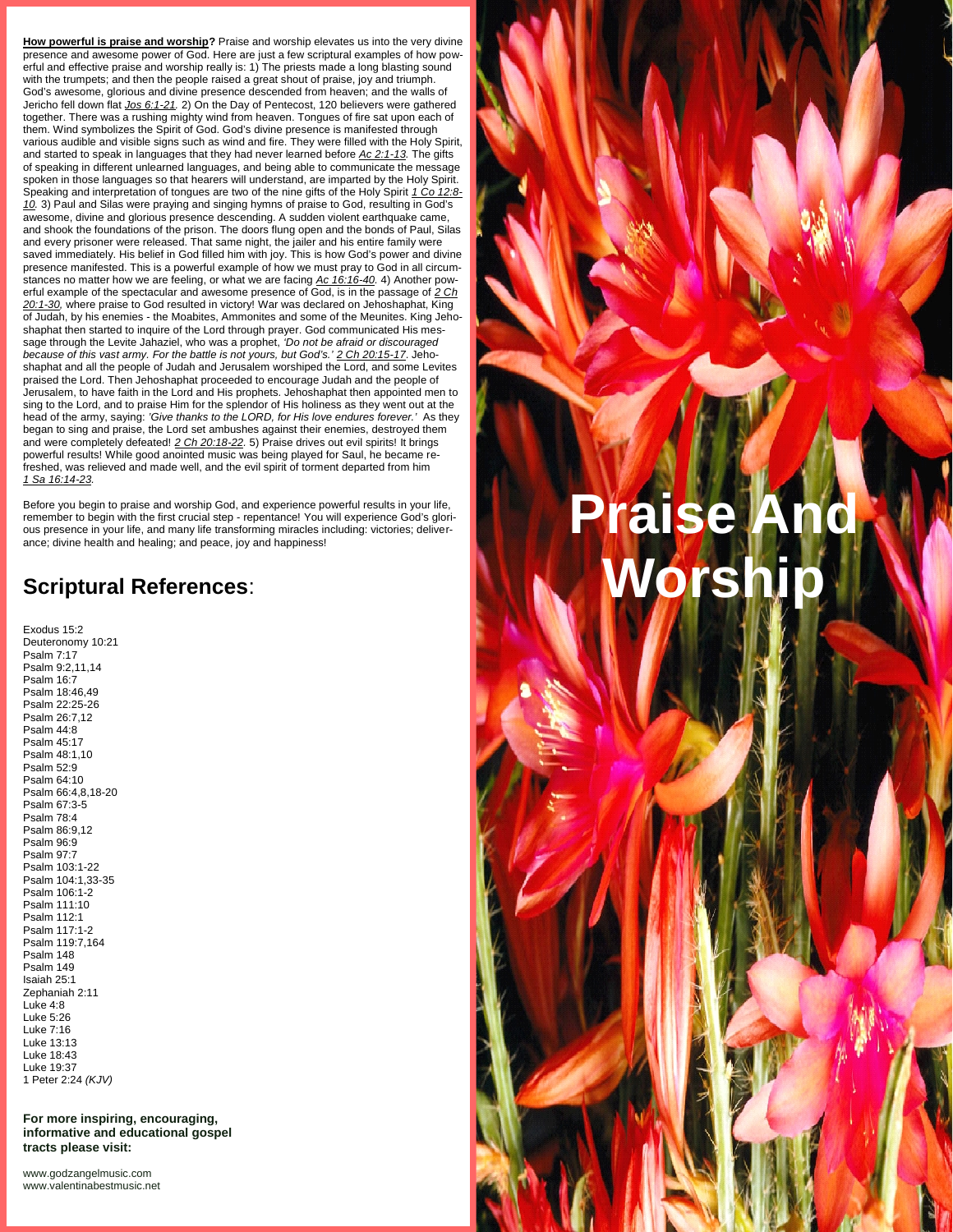**How powerful is praise and worship?** Praise and worship elevates us into the very divine presence and awesome power of God. Here are just a few scriptural examples of how pow erful and effective praise and worship really is: 1) The priests made a long blasting sound with the trumpets; and then the people raised a great shout of praise, joy and triumph. God's awesome, glorious and divine presence descended from heaven; and the walls of Jericho fell down flat *Jos 6:1-21.* 2) On the Day of Pentecost, 120 believers were gathered together. There was a rushing mighty wind from heaven. Tongues of fire sat upon each of them. Wind symbolizes the Spirit of God. God's divine presence is manifested through various audible and visible signs such as wind and fire. They were filled with the Holy Spirit, and started to speak in languages that they had never learned before *Ac 2:1-13.* The gifts of speaking in different unlearned languages, and being able to communicate the message spoken in those languages so that hearers will understand, are imparted by the Holy Spirit. Speaking and interpretation of tongues are two of the nine gifts of the Holy Spirit *1 Co 12:8- 10.* 3) Paul and Silas were praying and singing hymns of praise to God, resulting in God's awesome, divine and glorious presence descending. A sudden violent earthquake came, and shook the foundations of the prison. The doors flung open and the bonds of Paul, Silas and every prisoner were released. That same night, the jailer and his entire family were saved immediately. His belief in God filled him with joy. This is how God's power and divine presence manifested. This is a powerful example of how we must pray to God in all circum stances no matter how we are feeling, or what we are facing *Ac 16:16-40.* 4) Another pow erful example of the spectacular and awesome presence of God, is in the passage of *2 Ch 20:1-30,* where praise to God resulted in victory! War was declared on Jehoshaphat, King of Judah, by his enemies - the Moabites, Ammonites and some of the Meunites. King Jeho shaphat then started to inquire of the Lord through prayer. God communicated His mes sage through the Levite Jahaziel, who was a prophet, *'Do not be afraid or discouraged because of this vast army. For the battle is not yours, but God's.' 2 Ch 20:15-17*. Jeho shaphat and all the people of Judah and Jerusalem worshiped the Lord, and some Levites praised the Lord. Then Jehoshaphat proceeded to encourage Judah and the people of Jerusalem, to have faith in the Lord and His prophets. Jehoshaphat then appointed men to sing to the Lord, and to praise Him for the splendor of His holiness as they went out at the head of the army, saying: *'Give thanks to the LORD, for His love endures forever.'* As they began to sing and praise, the Lord set ambushes against their enemies, destroyed them and were completely defeated! *2 Ch 20:18-22.* 5) Praise drives out evil spirits! It brings powerful results! While good anointed music was being played for Saul, he became refreshed, was relieved and made well, and the evil spirit of torment departed from him *1 Sa 16:14-23.*

Before you begin to praise and worship God, and experience powerful results in your life, remember to begin with the first crucial step - repentance! You will experience God's glorious presence in your life, and many life transforming miracles including: victories; deliver ance; divine health and healing; and peace, joy and happiness!

## **Scriptural References**:

Exodus 15:2 Deuteronomy 10:21 Psalm 7:17 Psalm 9:2,11,14 Psalm 16:7 Psalm 18:46,49 Psalm 22:25-26 Psalm 26:7,12 Psalm 44:8 Psalm 45:17 Psalm 48:1,10 Psalm 52:9 Psalm 64:10 Psalm 66:4,8,18-20 Psalm 67:3-5 Psalm 78:4 Psalm 86:9,12 Psalm 96:9 Psalm 97:7 Psalm 103:1-22 Psalm 104:1,33-35 Psalm 106:1-2 Psalm 111:10 Psalm 112:1 Psalm 117:1-2 Psalm 119:7,164 Psalm 148 Psalm 149 Isaiah 25:1 Zephaniah 2:11 Luke 4:8 Luke 5:26 Luke 7:16 Luke 13:13 Luke 18:43 Luke 19:37 1 Peter 2:24 *(KJV)*

**For more inspiring, encouraging, informative and educational gospel tracts please visit:**

<www.godzangelmusic.com> <www.valentinabestmusic.net>

# **Praise And Worship**